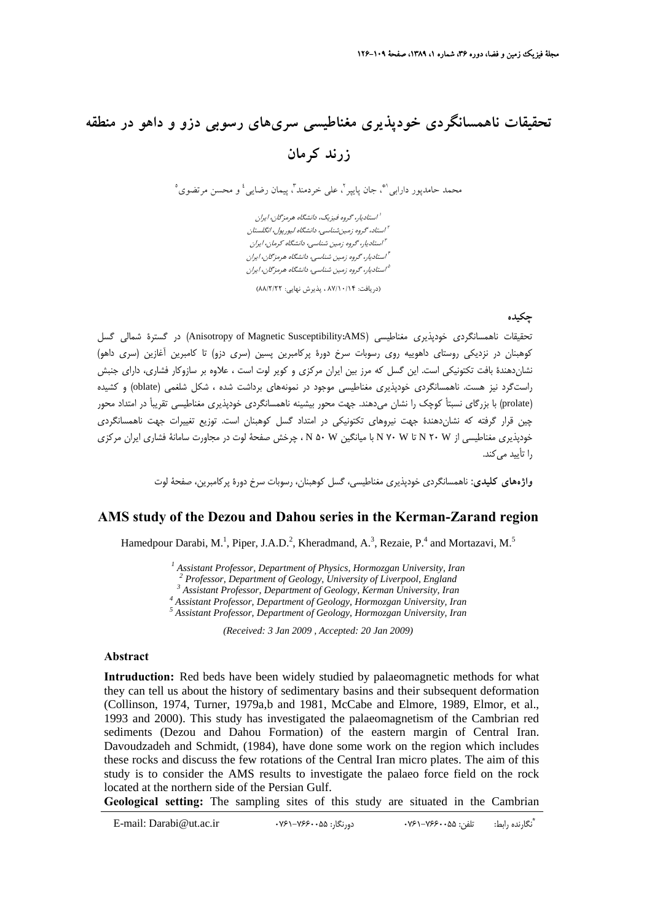# **تحقيقات ناهمسانگردي خودپذيري مغناطيسي سريهاي رسوبي دزو و داهو در منطقه زرند كرمان**

محمد حامدپور دارابي<sup>۹</sup>"، جان پايپر <sup>٢</sup>، علي خردمند ٢ پيمان رضايي<sup>، و</sup> و محسن مرتضوي °

استاديار، گروه فيزيك، دانشگاه هرمزگان، ايران <sup>1</sup> استاد، گروه زمينشناسي، دانشگاه ليورپول، انگلستان <sup>2</sup> استاديار، گروه زمين شناسي، دانشگاه كرمان، ايران <sup>3</sup> استاديار، گروه زمين شناسي، دانشگاه هرمزگان، ايران <sup>4</sup> استاديار، گروه زمين شناسي، دانشگاه هرمزگان، ايران <sup>5</sup>

(دريافت: 87/10/14 ، پذيرش نهايي: 88/2/22)

#### **چكيده**

تحقيقات ناهمسانگردي خودپذيري مغناطيسي (Anisotropy of Magnetic Susceptibility:AMS) در گسترهٔ شمالي گسل كوهبنان در نزديكي روستاي داهوييه روي رسوبات سرخ دورة پركامبرين پسين (سري دزو) تا كامبرين آغازين (سري داهو) نشاندهندة بافت تكتونيكي است. اين گسل كه مرز بين ايران مركزي و كوير لوت است ، علاوه بر سازوكار فشاري، داراي جنبش راستگرد نيز هست. ناهمسانگردي خودپذيري مغناطيسي موجود در نمونههاي برداشت شده ، شكل شلغمي (oblate (و كشيده (prolate (با بزرگاي نسبتأ كوچك را نشان ميدهند. جهت محور بيشينه ناهمسانگردي خودپذيري مغناطيسي تقريبأ در امتداد محور چين قرار گرفته كه نشاندهندة جهت نيروهاي تكتونيكي در امتداد گسل كوهبنان است. توزيع تغييرات جهت ناهمسانگردي خودپذيري مغناطيسي از W 20 N تا W 70 N با ميانگين W 50 N ، چرخش صفحة لوت در مجاورت سامانة فشاري ايران مركزي را تأييد مي كند.

**واژههاي كليدي:** ناهمسانگردي خودپذيري مغناطيسي، گسل كوهبنان، رسوبات سرخ دورة پركامبرين، صفحة لوت

### **AMS study of the Dezou and Dahou series in the Kerman-Zarand region**

Hamedpour Darabi, M.<sup>1</sup>, Piper, J.A.D.<sup>2</sup>, Kheradmand, A.<sup>3</sup>, Rezaie, P.<sup>4</sup> and Mortazavi, M.<sup>5</sup>

<sup>1</sup> Assistant Professor, Department of Physics, Hormozgan University, Iran <sup>2</sup> Professor, Department of Caslosy, University of Liverpool, England

<sup>*Professor, Department of Geology, University of Liverpool, England*</sup>

 *Assistant Professor, Department of Geology, Kerman University, Iran 4*

 *Assistant Professor, Department of Geology, Hormozgan University, Iran 5*

 *Assistant Professor, Department of Geology, Hormozgan University, Iran* 

*(Received: 3 Jan 2009 , Accepted: 20 Jan 2009)* 

#### **Abstract**

**Intruduction:** Red beds have been widely studied by palaeomagnetic methods for what they can tell us about the history of sedimentary basins and their subsequent deformation (Collinson, 1974, Turner, 1979a,b and 1981, McCabe and Elmore, 1989, Elmor, et al., 1993 and 2000). This study has investigated the palaeomagnetism of the Cambrian red sediments (Dezou and Dahou Formation) of the eastern margin of Central Iran. Davoudzadeh and Schmidt, (1984), have done some work on the region which includes these rocks and discuss the few rotations of the Central Iran micro plates. The aim of this study is to consider the AMS results to investigate the palaeo force field on the rock located at the northern side of the Persian Gulf.

**Geological setting:** The sampling sites of this study are situated in the Cambrian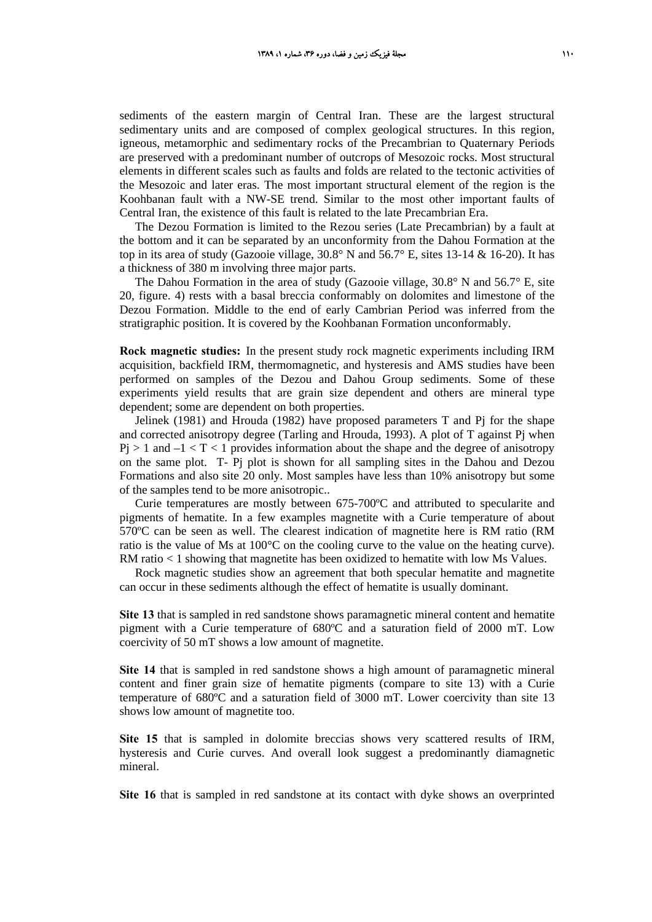sediments of the eastern margin of Central Iran. These are the largest structural sedimentary units and are composed of complex geological structures. In this region, igneous, metamorphic and sedimentary rocks of the Precambrian to Quaternary Periods are preserved with a predominant number of outcrops of Mesozoic rocks. Most structural elements in different scales such as faults and folds are related to the tectonic activities of the Mesozoic and later eras. The most important structural element of the region is the Koohbanan fault with a NW-SE trend. Similar to the most other important faults of Central Iran, the existence of this fault is related to the late Precambrian Era.

The Dezou Formation is limited to the Rezou series (Late Precambrian) by a fault at the bottom and it can be separated by an unconformity from the Dahou Formation at the top in its area of study (Gazooie village,  $30.8^\circ$  N and  $56.7^\circ$  E, sites 13-14 & 16-20). It has a thickness of 380 m involving three major parts.

The Dahou Formation in the area of study (Gazooie village,  $30.8^\circ$  N and  $56.7^\circ$  E, site 20, figure. 4) rests with a basal breccia conformably on dolomites and limestone of the Dezou Formation. Middle to the end of early Cambrian Period was inferred from the stratigraphic position. It is covered by the Koohbanan Formation unconformably.

**Rock magnetic studies:** In the present study rock magnetic experiments including IRM acquisition, backfield IRM, thermomagnetic, and hysteresis and AMS studies have been performed on samples of the Dezou and Dahou Group sediments. Some of these experiments yield results that are grain size dependent and others are mineral type dependent; some are dependent on both properties.

Jelinek (1981) and Hrouda (1982) have proposed parameters  $T$  and  $P$ j for the shape and corrected anisotropy degree (Tarling and Hrouda, 1993). A plot of T against Pj when  $Pj > 1$  and  $-1 < T < 1$  provides information about the shape and the degree of anisotropy on the same plot. T- Pj plot is shown for all sampling sites in the Dahou and Dezou Formations and also site 20 only. Most samples have less than 10% anisotropy but some of the samples tend to be more anisotropic..

Curie temperatures are mostly between 675-700ºC and attributed to specularite and pigments of hematite. In a few examples magnetite with a Curie temperature of about 570ºC can be seen as well. The clearest indication of magnetite here is RM ratio (RM ratio is the value of Ms at 100°C on the cooling curve to the value on the heating curve). RM ratio  $\lt 1$  showing that magnetite has been oxidized to hematite with low Ms Values.

Rock magnetic studies show an agreement that both specular hematite and magnetite can occur in these sediments although the effect of hematite is usually dominant.

**Site 13** that is sampled in red sandstone shows paramagnetic mineral content and hematite pigment with a Curie temperature of 680ºC and a saturation field of 2000 mT. Low coercivity of 50 mT shows a low amount of magnetite.

**Site 14** that is sampled in red sandstone shows a high amount of paramagnetic mineral content and finer grain size of hematite pigments (compare to site 13) with a Curie temperature of 680ºC and a saturation field of 3000 mT. Lower coercivity than site 13 shows low amount of magnetite too.

**Site 15** that is sampled in dolomite breccias shows very scattered results of IRM, hysteresis and Curie curves. And overall look suggest a predominantly diamagnetic mineral.

**Site 16** that is sampled in red sandstone at its contact with dyke shows an overprinted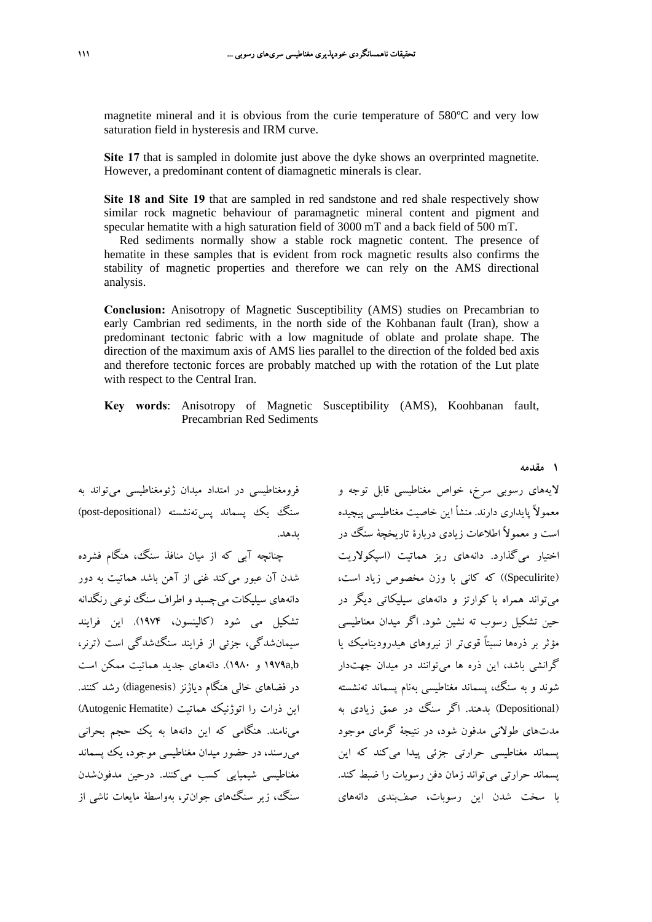magnetite mineral and it is obvious from the curie temperature of 580ºC and very low saturation field in hysteresis and IRM curve.

**Site 17** that is sampled in dolomite just above the dyke shows an overprinted magnetite. However, a predominant content of diamagnetic minerals is clear.

**Site 18 and Site 19** that are sampled in red sandstone and red shale respectively show similar rock magnetic behaviour of paramagnetic mineral content and pigment and specular hematite with a high saturation field of 3000 mT and a back field of 500 mT.

Red sediments normally show a stable rock magnetic content. The presence of hematite in these samples that is evident from rock magnetic results also confirms the stability of magnetic properties and therefore we can rely on the AMS directional analysis.

**Conclusion:** Anisotropy of Magnetic Susceptibility (AMS) studies on Precambrian to early Cambrian red sediments, in the north side of the Kohbanan fault (Iran), show a predominant tectonic fabric with a low magnitude of oblate and prolate shape. The direction of the maximum axis of AMS lies parallel to the direction of the folded bed axis and therefore tectonic forces are probably matched up with the rotation of the Lut plate with respect to the Central Iran.

**Key words**: Anisotropy of Magnetic Susceptibility (AMS), Koohbanan fault, Precambrian Red Sediments

لايههای رسوبی سرخ، خواص مغناطیسی قابل توجه و فرومغناطیسی در امتداد میدان ژئومغناطیسی میتواند به سنگ يك يسماند پستهنشسته (post-depositional) بدهد.

چنانچه آبي كه از ميان منافذ سنگ، هنگام فشرده شدن آن عبور ميكند غني از آهن باشد هماتيت به دور دانههاي سيليكات ميچسبد و اطراف سنگ نوعي رنگدانه تشكيل مي شود (كالينسون، 1974). اين فرايند سيمانشدگي، جزئي از فرايند سنگشدگي است (ترنر، b,a1979 و 1980). دانههاي جديد هماتيت ممكن است در فضاهاي خالي هنگام دياژنز (diagenesis (رشد كنند. اين ذرات را اتوژنيك هماتيت (Autogenic Hematite) مينامند. هنگامي كه اين دانهها به يك حجم بحراني ميرسند، در حضور ميدان مغناطيسي موجود، يك پسماند مغناطيسي شيميايي كسب ميكنند. درحين مدفونشدن سنگ، زير سنگهاي جوانتر، بهواسطة مايعات ناشي از

معمولاً پايداري دارند. منشأ اين خاصيت مغناطيسي پيچيده است و معمولاً اطلاعات زيادي دربارة تاريخچة سنگ در اختيار ميگذارد. دانههاي ريز هماتيت (اسپكولاريت (Speculirite ((كه كاني با وزن مخصوص زياد است، ميتواند همراه با كوارتز و دانههاي سيليكاتي ديگر در حين تشكيل رسوب ته نشين شود. اگر ميدان معناطيسي مؤثر بر ذرهها نسبتاً قويتر از نيروهاي هيدروديناميك يا گرانشي باشد، اين ذره ها ميتوانند در ميدان جهتدار شوند و به سنگ، پسماند مغناطيسي بهنام پسماند تهنشسته (Depositional (بدهند. اگر سنگ در عمق زيادي به مدتهاي طولاني مدفون شود، در نتيجة گرماي موجود پسماند مغناطيسي حرارتي جزئي پيدا ميكند كه اين پسماند حرارتي ميتواند زمان دفن رسوبات را ضبط كند. با سخت شدن اين رسوبات، صفبندي دانههاي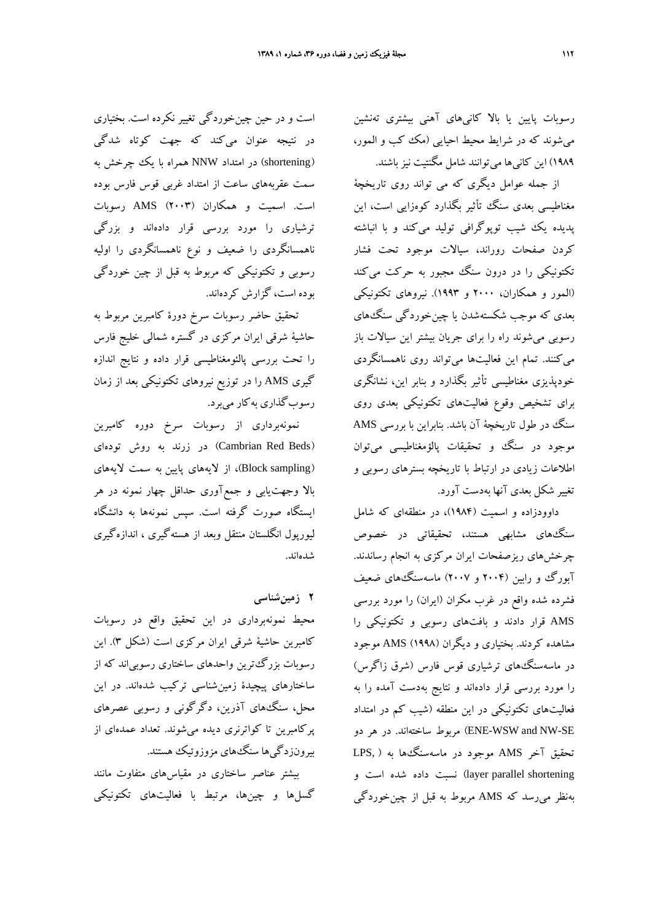رسوبات پايين يا بالا كانيهاي آهني بيشتري تهنشين ميشوند كه در شرايط محيط احيايي (مك كب و المور، ۱۹۸۹) اين كاني ها مي توانند شامل مگنتيت نيز باشند.

از جمله عوامل ديگري كه مي تواند روي تاريخچة مغناطيسي بعدي سنگ تأثير بگذارد كوهزايي است، اين پديده يك شيب توپوگرافي توليد ميكند و با انباشته كردن صفحات روراند، سيالات موجود تحت فشار تكتونيكي را در درون سنگ مجبور به حركت مي كند (المور و همكاران، 2000 و 1993). نيروهاي تكتونيكي بعدي كه موجب شكستهشدن يا چينخوردگي سنگهاي رسوبي ميشوند راه را براي جريان بيشتر اين سيالات باز ميكنند. تمام اين فعاليتها ميتواند روي ناهمسانگردي خودپذيزي مغناطيسي تأثير بگذارد و بنابر اين، نشانگري براي تشخيص وقوع فعاليتهاي تكتونيكي بعدي روي سنگ در طول تاريخچة آن باشد. بنابراين با بررسي AMS موجود در سنگ و تحقيقات پالؤمغناطيسي ميتوان اطلاعات زيادي در ارتباط با تاريخچه بسترهاي رسوبي و تغيير شكل بعدي آنها بهدست آورد.

داوودزاده و اسميت (1984)، در منطقهاي كه شامل سنگهاي مشابهي هستند، تحقيقاتي در خصوص چرخشهاي ريزصفحات ايران مركزي به انجام رساندند. آبورگ و رابين (۲۰۰۴ و ۲۰۰۷) ماسهسنگهاي ضعيف فشرده شده واقع در غرب مكران (ايران) را مورد بررسي AMS قرار دادند و بافتهاي رسوبي و تكتونيكي را مشاهده كردند. بختياري و ديگران (1998) AMS موجود در ماسهسنگهاي ترشياري قوس فارس (شرق زاگرس) را مورد بررسي قرار دادهاند و نتايج بهدست آمده را به فعاليتهاي تكتونيكي در اين منطقه (شيب كم در امتداد SE-NW and WSW-ENE (مربوط ساختهاند. در هر دو تحقيق آخر AMS موجود در ماسهسنگها به ( ,LPS layer parallel shortening) نسبت داده شده است و بهنظر ميرسد كه AMS مربوط به قبل از چينخوردگي

است و در حين چينخوردگي تغيير نكرده است. بختياري در نتيجه عنوان ميكند كه جهت كوتاه شدگي (shortening (در امتداد NNW همراه با يك چرخش به سمت عقربههاي ساعت از امتداد غربي قوس فارس بوده است. اسميت و همكاران (2003) AMS رسوبات ترشياري را مورد بررسي قرار دادهاند و بزرگي ناهمسانگردي را ضعيف و نوع ناهمسانگردي را اوليه رسوبي و تكتونيكي كه مربوط به قبل از چين خوردگي بوده است، گزارش كردهاند.

تحقيق حاضر رسوبات سرخ دورة كامبرين مربوط به حاشية شرقي ايران مركزي در گستره شمالي خليج فارس را تحت بررسي پالئومغناطيسي قرار داده و نتايج اندازه گيري AMS را در توزيع نيروهاي تكتونيكي بعد از زمان رسوبگذاري بهكار ميبرد.

نمونهبرداري از رسوبات سرخ دوره كامبرين (Beds Red Cambrian (در زرند به روش تودهاي (Block sampling)، از لايههاي پايين به سمت لايههاي بالا وجهتيابي و جمعآوري حداقل چهار نمونه در هر ايستگاه صورت گرفته است. سپس نمونهها به دانشگاه ليورپول انگلستان منتقل وبعد از هستهگيري ، اندازهگيري شدهاند.

**2 زمينشناسي**

محيط نمونهبرداري در اين تحقيق واقع در رسوبات كامبرين حاشية شرقي ايران مركزي است (شكل 3). اين رسوبات بزرگترين واحدهاي ساختاري رسوبياند كه از ساختارهاي پيچيدة زمينشناسي تركيب شدهاند. در اين محل، سنگهاي آذرين، دگرگوني و رسوبي عصرهاي پركامبرين تا كواترنري ديده ميشوند. تعداد عمدهاي از بيرونزدگيها سنگهاي مزوزوئيك هستند.

بيشتر عناصر ساختاري در مقياسهاي متفاوت مانند گسلها و چينها، مرتبط با فعاليتهاي تكتونيكي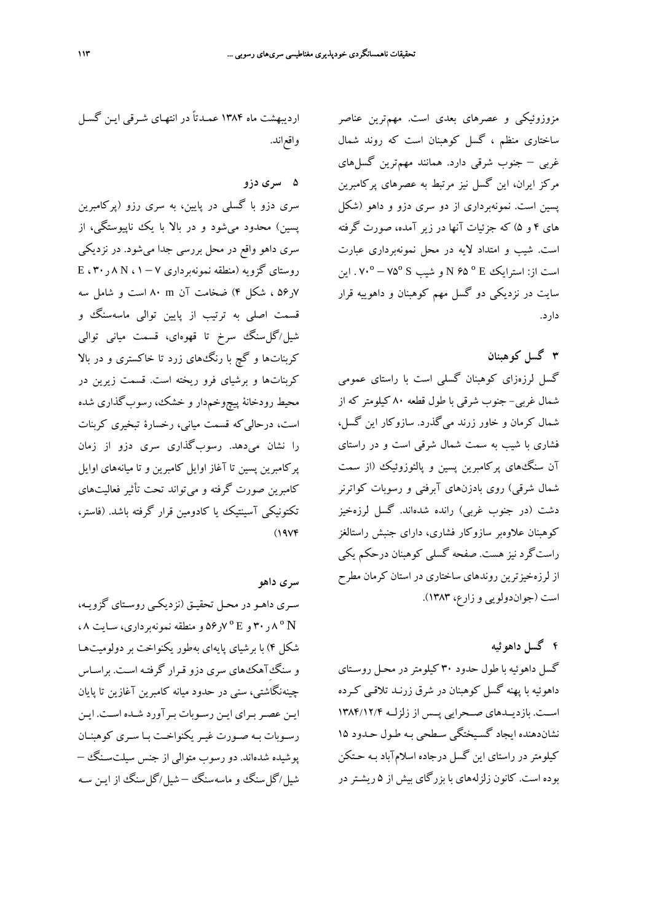واقعاند.

**5 سري دزو** سري دزو با گسلي در پايين، به سري رزو (پركامبرين پسين) محدود ميشود و در بالا با يك ناپيوستگي، از سري داهو واقع در محل بررسي جدا ميشود. در نزديكي روستاي گزويه (منطقه نمونهبرداري 7 – 1 ، <sup>N</sup> 8 ر30 ، <sup>E</sup> 7ر56 ، شكل 4) ضخامت آن m 80 است و شامل سه قسمت اصلي به ترتيب از پايين توالي ماسهسنگ و شيل/گلسنگ سرخ تا قهوهاي، قسمت مياني توالي كربناتها و گچ با رنگهاي زرد تا خاكستري و در بالا كربناتها و برشياي فرو ريخته است. قسمت زيرين در محيط رودخانة پيچوخمدار و خشك، رسوبگذاري شده است، درحاليكه قسمت مياني، رخسارة تبخيري كربنات را نشان ميدهد. رسوبگذاري سري دزو از زمان پركامبرين پسين تا آغاز اوايل كامبرين و تا ميانههاي اوايل كامبرين صورت گرفته و ميتواند تحت تأثير فعاليتهاي تكتونيكي آسينتيك يا كادومين قرار گرفته باشد. (فاستر،  $(19Y)$ 

ارديبهشت ماه 1384 عمـدتاً در انتهـاي شـرقي ايـن گسـل

**سري داهو**

سـري داهـو در محـل تحقيـق (نزديكـي روسـتاي گزويـه، N º 8 ر30 و <sup>E</sup> º 7ر56 و منطقه نمونهبرداري، سـايت 8 ، شكل 4) با برشياي پايهاي بهطور يكنواخت بر دولوميتهـا و سنگِآهكهاي سري دزو قـرار گرفتـه اسـت . براسـاس چينهنگاشتي، سني در حدود ميانه كامبرين آغازين تا پايان ايـن عصـربـراي ايـن رسـوبات بـرآورد شـده اسـت. ايـن رسـوبات بـه صـورت غيـر يكنواخـت بـا سـري كوهبنـان پوشيده شدهاند. دو رسوب متوالي از جنس سيلت سـنگ – شيل/گلسنگ و ماسهسنگ – شيل/گلسنگ از ايـن سـه

مزوزوئيكي و عصرهاي بعدي است. مهمترين عناصر ساختاري منظم ، گسل كوهبنان است كه روند شمال غربي – جنوب شرقي دارد. همانند مهمترين گسلهاي مركز ايران، اين گسل نيز مرتبط به عصرهاي پركامبرين پسين است. نمونهبرداري از دو سري دزو و داهو (شكل هاي 4 و 5) كه جزئيات آنها در زير آمده، صورت گرفته است. شيب و امتداد لايه در محل نمونهبرداري عبارت است از: استرايك <sup>E</sup> º 65 <sup>N</sup> و شيب <sup>S</sup> º75 – º70 . اين سايت در نزديكي دو گسل مهم كوهبنان و داهوييه قرار دارد.

## **3 گسل كوهبنان**

گسل لرزهزاي كوهبنان گسلي است با راستاي عمومي شمال غربي- جنوب شرقي با طول قطعه 80 كيلومتر كه از شمال كرمان و خاور زرند ميگذرد. سازوكار اين گسل، فشاري با شيب به سمت شمال شرقي است و در راستاي آن سنگهاي پركامبرين پسين و پالئوزوئيك (از سمت شمال شرقي) روي بادزنهاي آبرفتي و رسوبات كواترنر دشت (در جنوب غربي) رانده شدهاند. گسل لرزهخيز كوهبنان علاوهبر سازوكار فشاري، داراي جنبش راستالغز راستگرد نيز هست. صفحه گسلي كوهبنان درحكم يكي از لرزهخيزترين روندهاي ساختاري در استان كرمان مطرح است (جواندولويي و زارع، 1383).

# **4 گسل داهوئيه**

گسل داهوئيه با طول حدود 30 كيلومتردر محـل روسـتاي داهوئيه با پهنه گسل كوهبنان در شرق زرنـد تلاقـي كـرده اســت. بازديــدهاي صــحرايي پــس از زلزلــه 1384/12/4 نشاندهنده ايجاد گسـيختگي سـطحي بـه طـول حـدود 15 كيلومتر در راستاي اين گسل درجاده اسلام آباد بـه حـتكن بوده است. كانون زلزلههاي با بزرگاي بيش از 5 ريشـتردر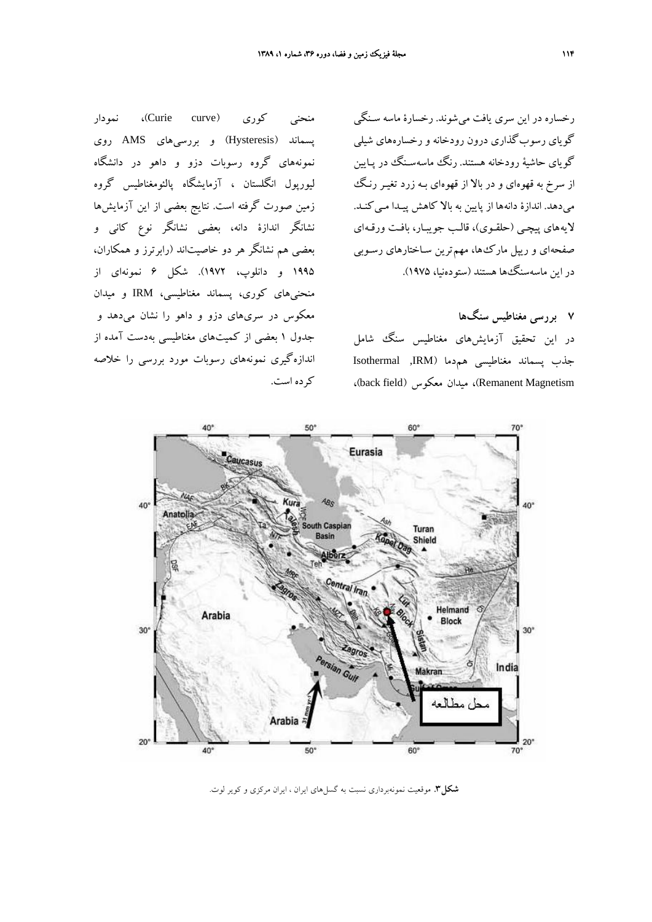رخساره در اين سري يافت مي شوند. رخسارة ماسه سـنگي گوياي رسوبگذاري درون رودخانه و رخساره هاي شيلي گوياي حاشية رودخانه هستند. رنگ ماسهسـنگ در پـايين از سرخ به قهوهاي و در بالا از قهوه اي بـه زرد تغيـر رنـگ ميدهد. اندازة دانهها از پايين به بالا كاهش پيـدا مـي كنـد. لايههاي پيچـي (حلقـوي)، قالـب جويبـار، بافـت ورقـه اي صفحهاي و ريپل ماركها، مهمترين سـاختارهاي رسـوبي در اين ماسهسنگها هستند (ستودهنيا، 1975).

**7 بررسي مغناطيس سنگها** در اين تحقيق آزمايشهاي مغناطيس سنگ شامل جذب پسماند مغناطيسي همدما (IRM, Isothermal ،(back field) معكوس ميدان ،)Remanent Magnetism

منحني كوري (Curie curve)، نمودار پسماند (Hysteresis (و بررسيهاي AMS روي نمونههاي گروه رسوبات دزو و داهو در دانشگاه ليورپول انگلستان ، آزمايشگاه پالئومغناطيس گروه زمين صورت گرفته است. نتايج بعضي از اين آزمايشها نشانگر اندازة دانه، بعضي نشانگر نوع كاني و بعضي هم نشانگر هر دو خاصيتاند (رابرترز و همكاران، 1995 و دانلوپ، 1972). شكل 6 نمونهاي از منحنيهاي كوري، پسماند مغناطيسي، IRM و ميدان معكوس در سريهاي دزو و داهو را نشان ميدهد و جدول 1 بعضي از كميتهاي مغناطيسي بهدست آمده از اندازهگيري نمونههاي رسوبات مورد بررسي را خلاصه كرده است.



**شكل.3** موقعيت نمونهبرداري نسبت به گسلهاي ايران ، ايران مركزي و كوير لوت.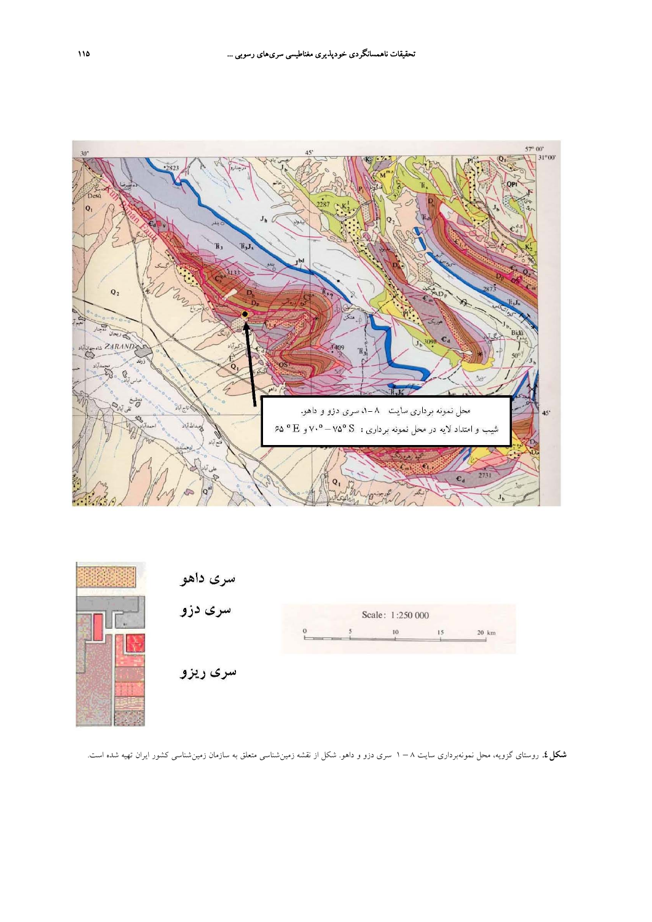



**شكل.4** روستاي گزويه، محل نمونهبرداري سايت 8 – 1 سري دزو و داهو. شكل از نقشه زمينشناسي متعلق به سازمان زمينشناسي كشور ايران تهيه شده است.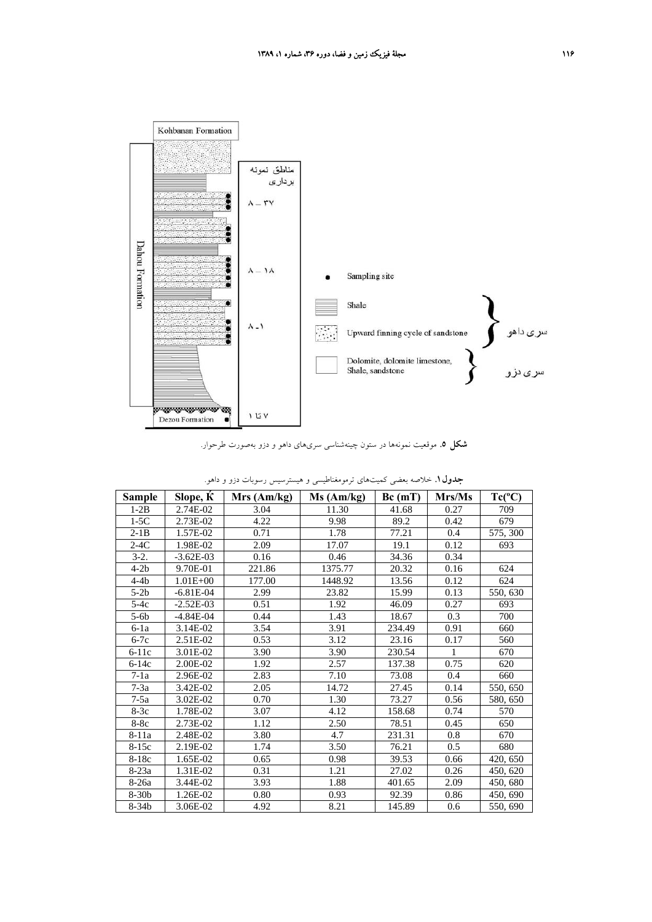

**شكل .5** موقعيت نمونهها در ستون چينهشناسي سريهاي داهو و دزو بهصورت طرحوار.

| Sample  | Slope, K     | Mrs (Am/kg) | Ms (Am/kg) | Bc(mT) | Mrs/Ms | $Tc(^{\circ}C)$ |
|---------|--------------|-------------|------------|--------|--------|-----------------|
| $1-2B$  | 2.74E-02     | 3.04        | 11.30      | 41.68  | 0.27   | 709             |
| $1-5C$  | 2.73E-02     | 4.22        | 9.98       | 89.2   | 0.42   | 679             |
| $2-1B$  | 1.57E-02     | 0.71        | 1.78       | 77.21  | 0.4    | 575, 300        |
| $2-4C$  | 1.98E-02     | 2.09        | 17.07      | 19.1   | 0.12   | 693             |
| $3-2.$  | $-3.62E-03$  | 0.16        | 0.46       | 34.36  | 0.34   |                 |
| $4-2b$  | 9.70E-01     | 221.86      | 1375.77    | 20.32  | 0.16   | 624             |
| $4-4b$  | $1.01E + 00$ | 177.00      | 1448.92    | 13.56  | 0.12   | 624             |
| $5-2b$  | $-6.81E-04$  | 2.99        | 23.82      | 15.99  | 0.13   | 550, 630        |
| $5-4c$  | $-2.52E-03$  | 0.51        | 1.92       | 46.09  | 0.27   | 693             |
| $5-6b$  | $-4.84E-04$  | 0.44        | 1.43       | 18.67  | 0.3    | 700             |
| $6-1a$  | 3.14E-02     | 3.54        | 3.91       | 234.49 | 0.91   | 660             |
| $6-7c$  | 2.51E-02     | 0.53        | 3.12       | 23.16  | 0.17   | 560             |
| $6-11c$ | 3.01E-02     | 3.90        | 3.90       | 230.54 | 1      | 670             |
| $6-14c$ | 2.00E-02     | 1.92        | 2.57       | 137.38 | 0.75   | 620             |
| $7-1a$  | 2.96E-02     | 2.83        | 7.10       | 73.08  | 0.4    | 660             |
| $7-3a$  | 3.42E-02     | 2.05        | 14.72      | 27.45  | 0.14   | 550, 650        |
| $7-5a$  | 3.02E-02     | 0.70        | 1.30       | 73.27  | 0.56   | 580, 650        |
| $8-3c$  | 1.78E-02     | 3.07        | 4.12       | 158.68 | 0.74   | 570             |
| $8-8c$  | 2.73E-02     | 1.12        | 2.50       | 78.51  | 0.45   | 650             |
| 8-11a   | 2.48E-02     | 3.80        | 4.7        | 231.31 | 0.8    | 670             |
| $8-15c$ | 2.19E-02     | 1.74        | 3.50       | 76.21  | 0.5    | 680             |
| $8-18c$ | 1.65E-02     | 0.65        | 0.98       | 39.53  | 0.66   | 420, 650        |
| 8-23a   | 1.31E-02     | 0.31        | 1.21       | 27.02  | 0.26   | 450, 620        |
| $8-26a$ | 3.44E-02     | 3.93        | 1.88       | 401.65 | 2.09   | 450, 680        |
| $8-30b$ | 1.26E-02     | 0.80        | 0.93       | 92.39  | 0.86   | 450, 690        |
| $8-34b$ | 3.06E-02     | 4.92        | 8.21       | 145.89 | 0.6    | 550, 690        |

| <b>جدول ۱</b> . خلاصه بعضی کمیتهای ترمومغناطیسی و هیسترسیس رسوبات دزو و داهو. |  |
|-------------------------------------------------------------------------------|--|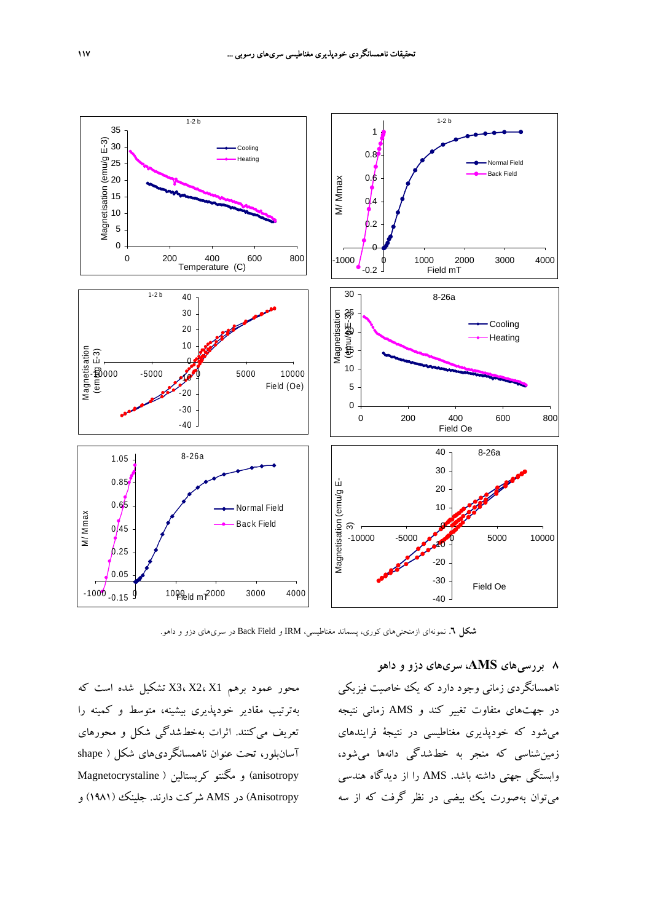

**شكل .6** نمونهاي ازمنحنيهاي كوري، پسماند مغناطيسي، IRM و Field Back در سريهاي دزو و داهو.

محور عمود برهم 1X 2،X 3،X تشكيل شده است كه بهترتيب مقادير خودپذيري بيشينه، متوسط و كمينه را تعريف ميكنند. اثرات بهخطشدگي شكل و محورهاي آسانبلور، تحت عنوان ناهمسانگرديهاي شكل ( shape anisotropy (و مگنتو كريستالين ( Magnetocrystaline Anisotropy (در AMS شركت دارند. جلينك (1981) و

**8 بررسيهاي AMS، سريهاي دزو و داهو** ناهمسانگردي زماني وجود دارد كه يك خاصيت فيزيكي در جهتهاي متفاوت تغيير كند و AMS زماني نتيجه ميشود كه خودپذيري مغناطيسي در نتيجة فرايندهاي زمينشناسي كه منجر به خطشدگي دانهها ميشود، وابستگي جهتي داشته باشد. AMS را از ديدگاه هندسي ميتوان بهصورت يك بيضي در نظر گرفت كه از سه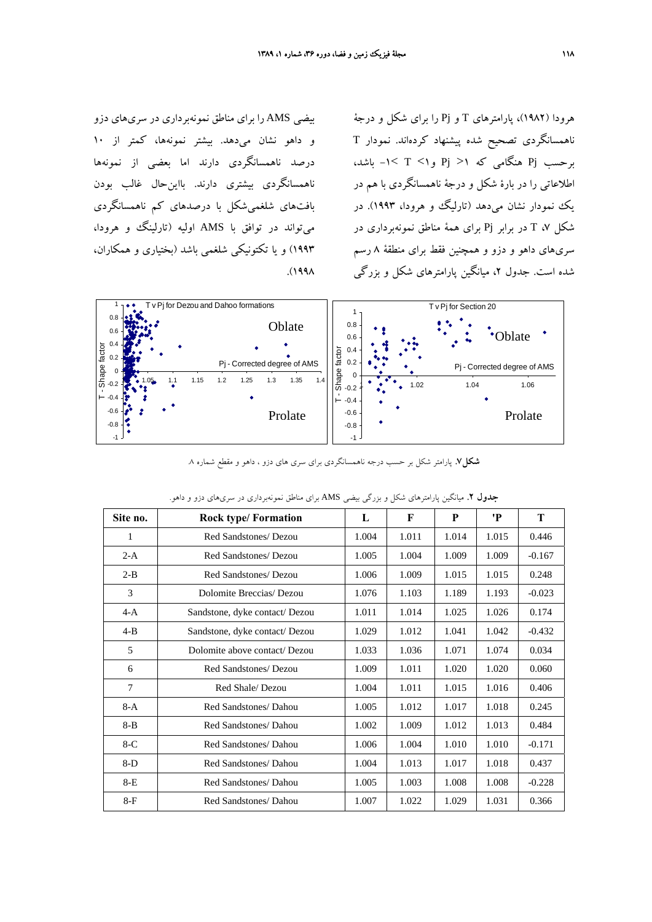بيضي AMS را براي مناطق نمونهبرداري در سريهاي دزو و داهو نشان ميدهد. بيشتر نمونهها، كمتر از 10 درصد ناهمسانگردي دارند اما بعضي از نمونهها ناهمسانگردي بيشتري دارند. بااينحال غالب بودن بافتهاي شلغميشكل با درصدهاي كم ناهمسانگردي ميتواند در توافق با AMS اوليه (تارلينگ و هرودا، 1993) و يا تكتونيكي شلغمي باشد (بختياري و همكاران، .(1998

هرودا (1982)، پارامترهاي T و Pj را براي شكل و درجة ناهمسانگردي تصحيح شده پيشنهاد كردهاند. نمودار T برحسب Pj هنگامي كه 1< Pj و1> T< -1 باشد، اطلاعاتي را در بارة شكل و درجة ناهمسانگردي با هم در يك نمودار نشان ميدهد (تارليگ و هرودا، 1993). در شكل ،7 T در برابر Pj براي همة مناطق نمونهبرداري در سريهاي داهو و دزو و همچنين فقط براي منطقة 8 رسم شده است. جدول ،2 ميانگين پارامترهاي شكل و بزرگي



**شكل.7** پارامتر شكل بر حسب درجه ناهمسانگردي براي سري هاي دزو ، داهو و مقطع شماره .8

| Site no. | <b>Rock type/Formation</b>     | L     | F     | P     | 'P    | T        |
|----------|--------------------------------|-------|-------|-------|-------|----------|
| 1        | Red Sandstones/ Dezou          | 1.004 | 1.011 | 1.014 | 1.015 | 0.446    |
| $2-A$    | Red Sandstones/ Dezou          | 1.005 | 1.004 | 1.009 | 1.009 | $-0.167$ |
| $2 - B$  | Red Sandstones/ Dezou          | 1.006 | 1.009 | 1.015 | 1.015 | 0.248    |
| 3        | Dolomite Breccias/Dezou        | 1.076 | 1.103 | 1.189 | 1.193 | $-0.023$ |
| $4-A$    | Sandstone, dyke contact/Dezou  | 1.011 | 1.014 | 1.025 | 1.026 | 0.174    |
| $4 - B$  | Sandstone, dyke contact/ Dezou | 1.029 | 1.012 | 1.041 | 1.042 | $-0.432$ |
| 5        | Dolomite above contact/Dezou   | 1.033 | 1.036 | 1.071 | 1.074 | 0.034    |
| 6        | Red Sandstones/ Dezou          | 1.009 | 1.011 | 1.020 | 1.020 | 0.060    |
| 7        | Red Shale/Dezou                | 1.004 | 1.011 | 1.015 | 1.016 | 0.406    |
| $8-A$    | Red Sandstones/ Dahou          | 1.005 | 1.012 | 1.017 | 1.018 | 0.245    |
| 8-B      | Red Sandstones/ Dahou          | 1.002 | 1.009 | 1.012 | 1.013 | 0.484    |
| $8-C$    | Red Sandstones/ Dahou          | 1.006 | 1.004 | 1.010 | 1.010 | $-0.171$ |
| $8-D$    | Red Sandstones/ Dahou          | 1.004 | 1.013 | 1.017 | 1.018 | 0.437    |
| 8-E      | Red Sandstones/ Dahou          | 1.005 | 1.003 | 1.008 | 1.008 | $-0.228$ |
| $8-F$    | Red Sandstones/ Dahou          | 1.007 | 1.022 | 1.029 | 1.031 | 0.366    |

**جدول .2** ميانگين پارامترهاي شكل و بزرگي بيضي AMS براي مناطق نمونهبرداري در سريهاي دزو و داهو.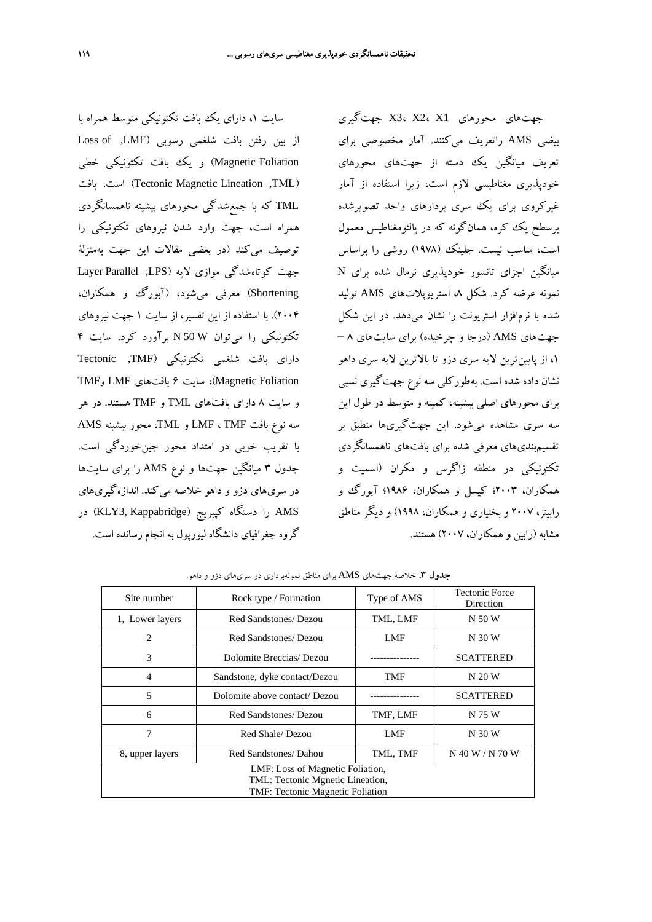سايت ،1 داراي يك بافت تكتونيكي متوسط همراه با از بين رفتن بافت شلغمي رسوبي (LMF) Loss of Foliation Magnetic (و يك بافت تكتونيكي خطي بافت .است) Tectonic Magnetic Lineation ,TML) TML كه با جمعشدگي محورهاي بيشينه ناهمسانگردي همراه است، جهت وارد شدن نيروهاي تكتونيكي را توصيف ميكند (در بعضي مقالات اين جهت بهمنزلة جهت كوتاهشدگي موازي لايه (LPS, Parallel Layer Shortening (معرفي ميشود، (آبورگ و همكاران، 2004). با استفاده از اين تفسير، از سايت 1 جهت نيروهاي تكتونيكي را ميتوان W 50 N برآورد كرد. سايت 4 داراي بافت شلغمي تكتونيكي (TMF, Tectonic TMF وMAgnetic Foliation)، سايت ۶ بافتهاي LMF و و سايت 8 داراي بافتهاي TML و TMF هستند. در هر سه نوع بافت TMF ، LMF و TML، محور بيشينه AMS با تقريب خوبي در امتداد محور چينخوردگي است. جدول 3 ميانگين جهتها و نوع AMS را براي سايتها در سريهاي دزو و داهو خلاصه ميكند. اندازهگيريهاي در KLY3, Kappabridge) كپبريج (KLY3, Kappabridge) در گروه جغرافياي دانشگاه ليورپول به انجام رسانده است.

جهتهاي محورهاي 1X 2،X 3،X جهتگيري بيضي AMS راتعريف ميكنند. آمار مخصوصي براي تعريف ميانگين يك دسته از جهتهاي محورهاي خودپذيري مغناطيسي لازم است، زيرا استفاده از آمار غيركروي براي يك سرى بردارهاي واحد تصويرشده برسطح يك كره، همانگونه كه در پالئومغناطيس معمول است، مناسب نيست. جلينك (1978) روشي را براساس ميانگين اجزاي تانسور خودپذيري نرمال شده براي N نمونه عرضه كرد. شكل ،8 استريوپلاتهاي AMS توليد شده با نرمافزار استريونت را نشان ميدهد. در اين شكل جهتهاي AMS) درجا و چرخيده) براي سايتهاي 8 – ،1 از پايينترين لايه سري دزو تا بالاترين لايه سري داهو نشان داده شده است. بهطوركلي سه نوع جهتگيري نسبي براي محورهاي اصلي بيشينه، كمينه و متوسط در طول اين سه سري مشاهده ميشود. اين جهتگيريها منطبق بر تقسيمبنديهاي معرفي شده براي بافتهاي ناهمسانگردي تكتونيكي در منطقه زاگرس و مكران (اسميت و همكاران، 2003؛ كيسل و همكاران، 1986؛ آبورگ و رابينز، 2007 و بختياري و همكاران، 1998) و ديگر مناطق مشابه (رابين و همكاران، 2007) هستند.

| Site number                      | Rock type / Formation         | Type of AMS | <b>Tectonic Force</b><br>Direction |  |  |
|----------------------------------|-------------------------------|-------------|------------------------------------|--|--|
| 1, Lower layers                  | Red Sandstones/ Dezou         | TML, LMF    | N 50 W                             |  |  |
| $\mathcal{L}$                    | Red Sandstones/ Dezou         | <b>LMF</b>  | N 30 W                             |  |  |
| 3                                | Dolomite Breccias/Dezou       |             | <b>SCATTERED</b>                   |  |  |
| $\overline{4}$                   | Sandstone, dyke contact/Dezou | TMF         | N 20 W                             |  |  |
| 5                                | Dolomite above contact/ Dezou |             | SCATTERED                          |  |  |
| 6                                | Red Sandstones/ Dezou         | TMF, LMF    | N 75 W                             |  |  |
| 7                                | Red Shale/Dezou               | <b>LMF</b>  | N 30 W                             |  |  |
| 8, upper layers                  | Red Sandstones/ Dahou         | TML, TMF    | N 40 W / N 70 W                    |  |  |
| LMF: Loss of Magnetic Foliation, |                               |             |                                    |  |  |
| TML: Tectonic Mgnetic Lineation, |                               |             |                                    |  |  |
| TMF: Tectonic Magnetic Foliation |                               |             |                                    |  |  |

**جدول .3** خلاصة جهتهاي AMS براي مناطق نمونهبرداري در سريهاي دزو و داهو.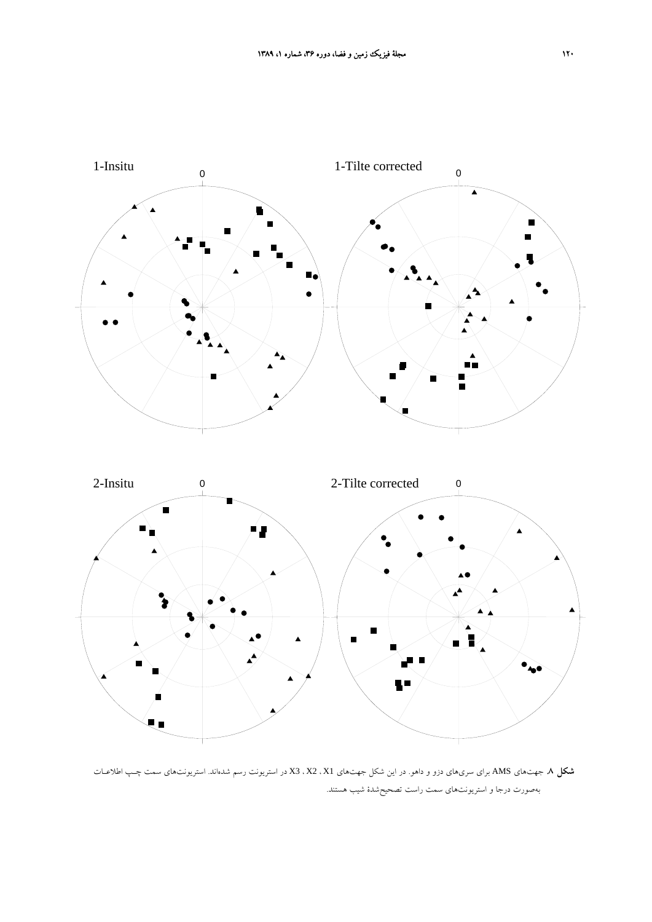

**شكل .8** جهتهاي AMS براي سريهاي دزو و داهو. در اين شكل جهتهاي 1X ، 2X ، 3X در استريونت رسم شدهاند. استريونتهاي سمت چـپ اطلاعـات بهصورت درجا و استريونتهاي سمت راست تصحيحشدة شيب هستند.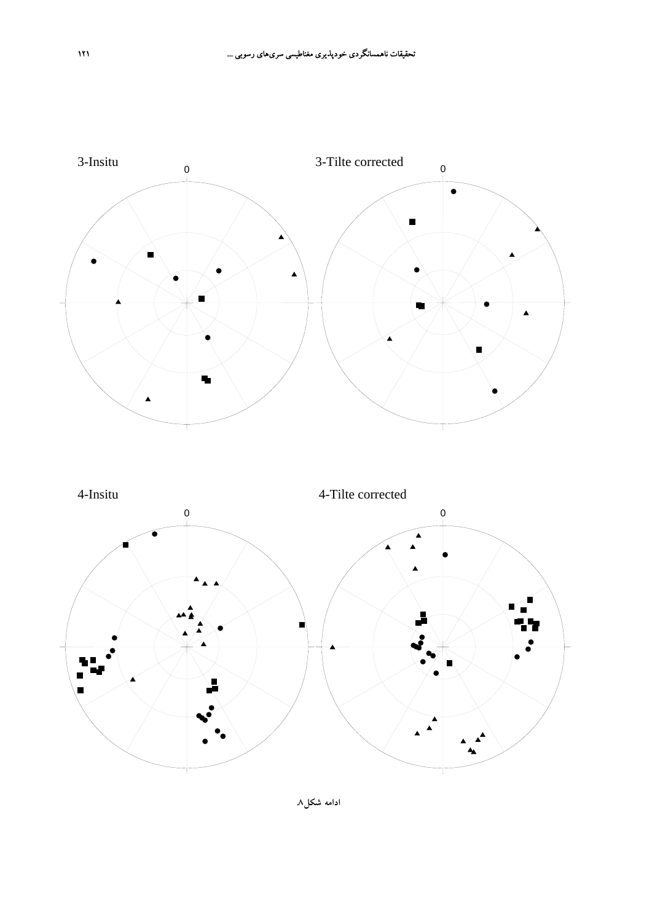

**ادامه شكل.8**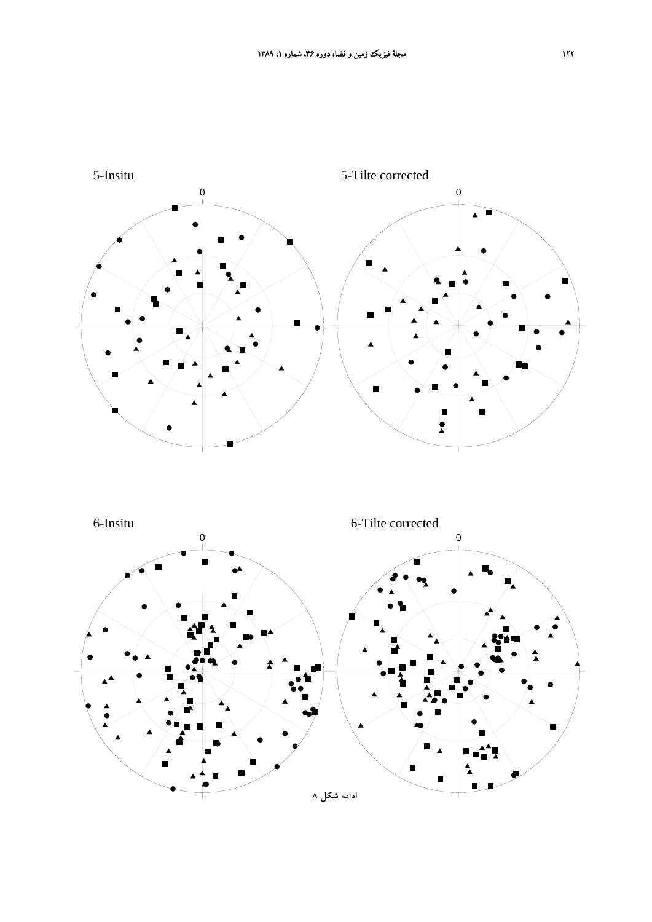

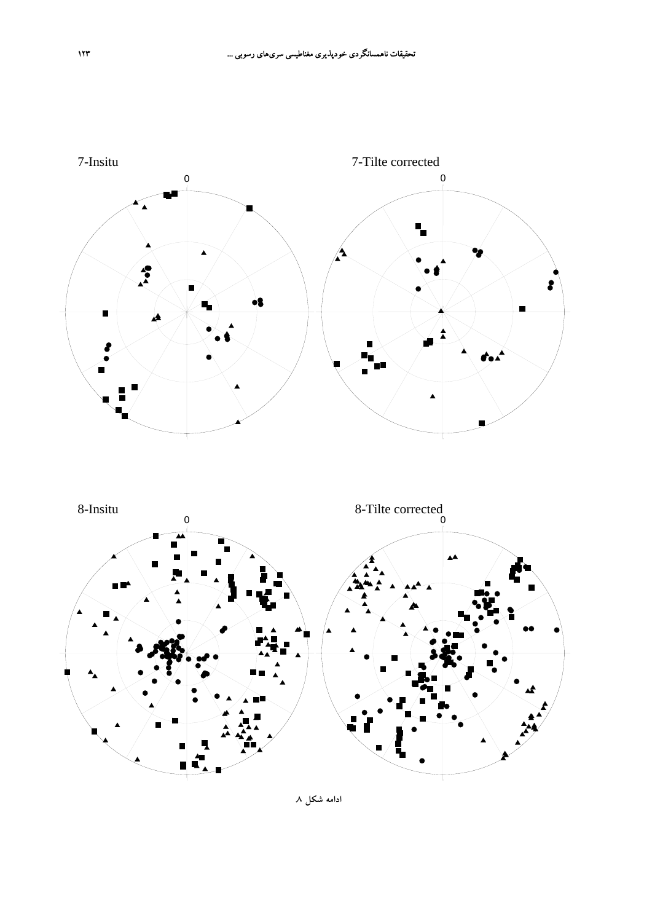

**ادامه شكل .8**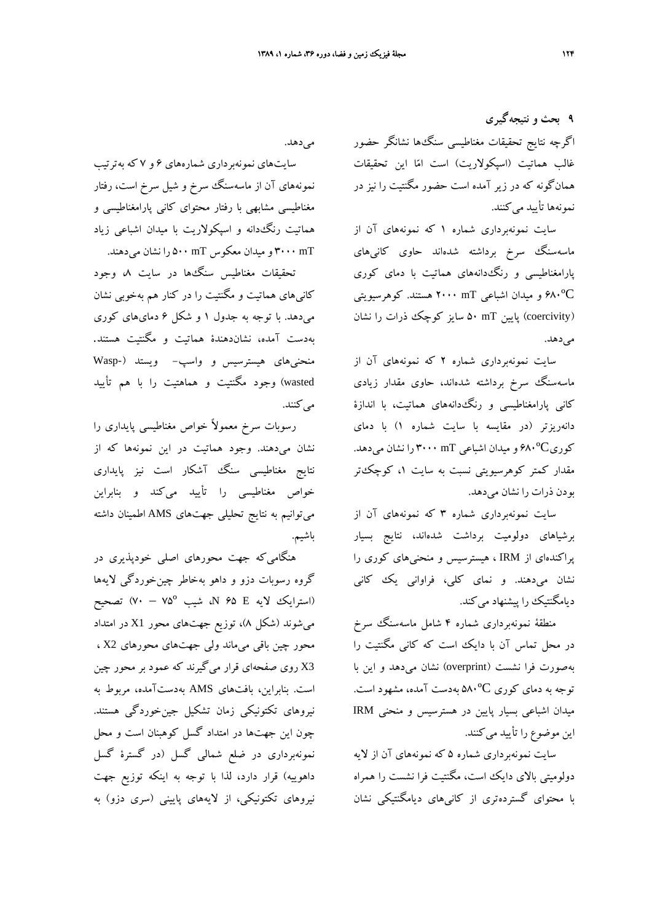**9 بحث و نتيجهگيري** اگرچه نتايج تحقيقات مغناطيسي سنگها نشانگر حضور غالب هماتيت (اسپكولاريت) است اما اين تحقيقات همانگونه كه در زير آمده است حضور مگنتيت را نيز در نمونهها تأييد ميكنند.

سايت نمونهبرداري شماره 1 كه نمونههاي آن از ماسهسنگ سرخ برداشته شدهاند حاوي كانيهاي پارامغناطيسي و رنگدانههاي هماتيت با دماي كوري ºC680 و ميدان اشباعي mT 2000 هستند. كوهرسيويتي (coercivity (پايين mT 50 سايز كوچك ذرات را نشان مي دهد.

سايت نمونهبرداري شماره 2 كه نمونههاي آن از ماسهسنگ سرخ برداشته شدهاند، حاوي مقدار زيادي كاني پارامغناطيسي و رنگدانههاي هماتيت، با اندازة دانهريزتر (در مقايسه با سايت شماره 1) با دماي كوريºC680 و ميدان اشباعي mT 3000 را نشان ميدهد. مقدار كمتر كوهرسيويتي نسبت به سايت ،1 كوچكتر بودن ذرات را نشان ميدهد.

سايت نمونهبرداري شماره 3 كه نمونههاي آن از برشياهاي دولوميت برداشت شدهاند، نتايج بسيار پراكندهاي از IRM ، هيسترسيس و منحنيهاي كوري را نشان ميدهند. و نماي كلي، فراواني يك كاني ديامگنتيك را پيشنهاد مي كند.

منطقة نمونهبرداري شماره 4 شامل ماسهسنگ سرخ در محل تماس آن با دايك است كه كاني مگنتيت را بهصورت فرا نشست (overprint (نشان ميدهد و اين با توجه به دماي كوري A^°C بهدست آمده، مشهود است. ميدان اشباعي بسيار پايين در هسترسيس و منحني IRM اين موضوع را تأييد ميكنند.

سايت نمونهبرداري شماره 5 كه نمونههاي آن از لايه دولوميتي بالاي دايك است، مگنتيت فرا نشست را همراه با محتواي گستردهتري از كانيهاي ديامگنتيكي نشان

مي دهد.

سايتهاي نمونهبرداري شمارههاي 6 و 7 كه بهترتيب نمونههاي آن از ماسهسنگ سرخ و شيل سرخ است، رفتار مغناطيسي مشابهي با رفتار محتواي كاني پارامغناطيسي و هماتيت رنگدانه و اسپكولاريت با ميدان اشباعي زياد mT 3000 و ميدان معكوس mT 500 را نشان ميدهند.

تحقيقات مغناطيس سنگها در سايت ،8 وجود كانيهاي هماتيت و مگنتيت را در كنار هم بهخوبي نشان ميدهد. با توجه به جدول 1 و شكل 6 دمايهاي كوري بهدست آمده، نشاندهندة هماتيت و مگنتيت هستند. منحنيهاي هيسترسيس و واسپ- ويستد (-Wasp wasted (وجود مگنتيت و هماهتيت را با هم تأييد مي كنند.

رسوبات سرخ معمولاً خواص مغناطيسي پايداري را نشان ميدهند. وجود هماتيت در اين نمونهها كه از نتايج مغناطيسي سنگ آشكار است نيز پايداري خواص مغناطيسي را تأييد ميكند و بنابراين ميتوانيم به نتايج تحليلي جهتهاي AMS اطمينان داشته باشيم.

هنگاميكه جهت محورهاي اصلي خودپذيري در گروه رسوبات دزو و داهو بهخاطر چينخوردگي لايهها (استرايك لايه <sup>E</sup> 65 <sup>N</sup>، شيب º75 – 70 (تصحيح ميشوند (شكل 8)، توزيع جهتهاي محور 1X در امتداد محور چين باقي ميماند ولي جهتهاي محورهاي 2X ، 3X روي صفحهاي قرار ميگيرند كه عمود بر محور چين است. بنابراين، بافتهاي AMS بهدستآمده، مربوط به نيروهاي تكتونيكي زمان تشكيل جينخوردگي هستند. چون اين جهتها در امتداد گسل كوهبنان است و محل نمونهبرداري در ضلع شمالي گسل (در گسترة گسل داهوييه) قرار دارد، لذا با توجه به اينكه توزيع جهت نيروهاي تكتونيكي، از لايههاي پاييني (سري دزو) به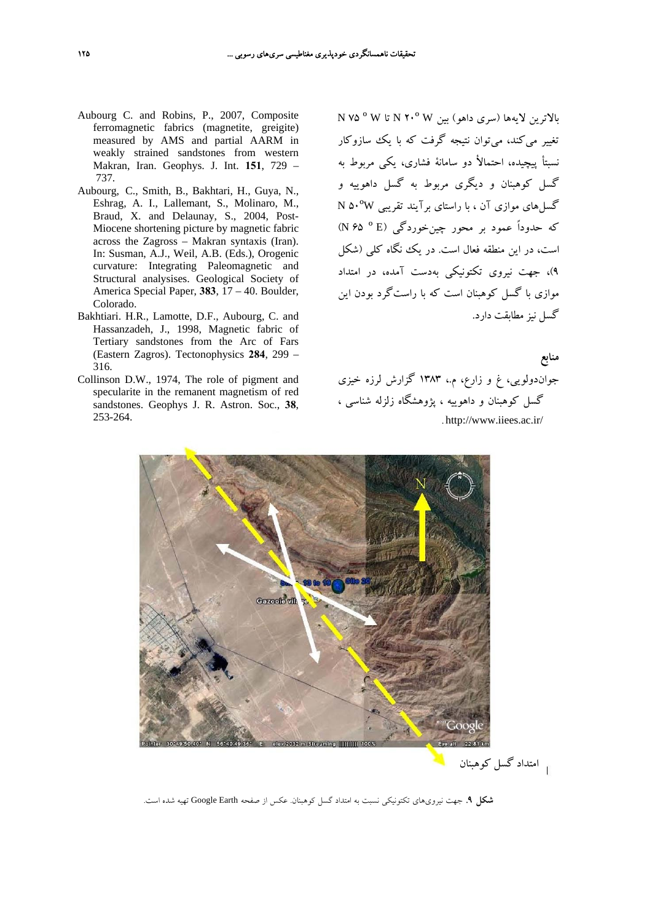- Aubourg C. and Robins, P., 2007, Composite ferromagnetic fabrics (magnetite, greigite) measured by AMS and partial AARM in weakly strained sandstones from western Makran, Iran. Geophys. J. Int. **151**, 729 – 737.
- Aubourg, C., Smith, B., Bakhtari, H., Guya, N., Eshrag, A. I., Lallemant, S., Molinaro, M., Braud, X. and Delaunay, S., 2004, Post-Miocene shortening picture by magnetic fabric across the Zagross – Makran syntaxis (Iran). In: Susman, A.J., Weil, A.B. (Eds.), Orogenic curvature: Integrating Paleomagnetic and Structural analysises. Geological Society of America Special Paper, **383**, 17 – 40. Boulder, Colorado.
- Bakhtiari. H.R., Lamotte, D.F., Aubourg, C. and Hassanzadeh, J., 1998, Magnetic fabric of Tertiary sandstones from the Arc of Fars (Eastern Zagros). Tectonophysics **284**, 299 – 316.
- Collinson D.W., 1974, The role of pigment and specularite in the remanent magnetism of red sandstones. Geophys J. R. Astron. Soc., **38**, 253-264.

بالاترين لايهها (سري داهو) بين <sup>W</sup> º20 <sup>N</sup> تا <sup>W</sup> º 75 <sup>N</sup> تغيير ميكند، ميتوان نتيجه گرفت كه با يك سازوكار نسبتأ پيچيده، احتمالأ دو سامانة فشاري، يكي مربوط به گسل كوهبنان و ديگري مربوط به گسل داهوييه و گسلهاي موازي آن ، با راستاي برآيند تقريبي ºW50 <sup>N</sup> كه حدوداً عمود بر محور چينخوردگي (E º 65 <sup>N</sup>( است، در اين منطقه فعال است. در يك نگاه كلي (شكل 9)، جهت نيروي تكتونيكي بهدست آمده، در امتداد موازي با گسل كوهبنان است كه با راستگرد بودن اين گسل نيز مطابقت دارد.

# **منابع**

جواندولويي، غ و زارع، م،. 1383 گزارش لرزه خيزي گسل كوهبنان و داهوييه ، پژوهشگاه زلزله شناسي ، . http://www.iiees.ac.ir/



امتداد گسل كوهبنان

**شكل .9** جهت نيرويهاي تكتونيكي نسبت به امتداد گسل كوهبنان. عكس از صفحه Earth Google تهيه شده است.